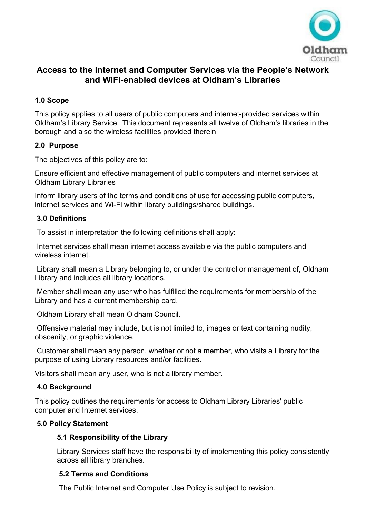

# **Access to the Internet and Computer Services via the People's Network and WiFi-enabled devices at Oldham's Libraries**

# **1.0 Scope**

This policy applies to all users of public computers and internet-provided services within Oldham's Library Service. This document represents all twelve of Oldham's libraries in the borough and also the wireless facilities provided therein

# **2.0 Purpose**

The objectives of this policy are to:

Ensure efficient and effective management of public computers and internet services at Oldham Library Libraries

Inform library users of the terms and conditions of use for accessing public computers, internet services and Wi-Fi within library buildings/shared buildings.

# **3.0 Definitions**

To assist in interpretation the following definitions shall apply:

Internet services shall mean internet access available via the public computers and wireless internet.

Library shall mean a Library belonging to, or under the control or management of, Oldham Library and includes all library locations.

Member shall mean any user who has fulfilled the requirements for membership of the Library and has a current membership card.

Oldham Library shall mean Oldham Council.

Offensive material may include, but is not limited to, images or text containing nudity, obscenity, or graphic violence.

Customer shall mean any person, whether or not a member, who visits a Library for the purpose of using Library resources and/or facilities.

Visitors shall mean any user, who is not a library member.

# **4.0 Background**

This policy outlines the requirements for access to Oldham Library Libraries' public computer and Internet services.

# **5.0 Policy Statement**

# **5.1 Responsibility of the Library**

Library Services staff have the responsibility of implementing this policy consistently across all library branches.

# **5.2 Terms and Conditions**

The Public Internet and Computer Use Policy is subject to revision.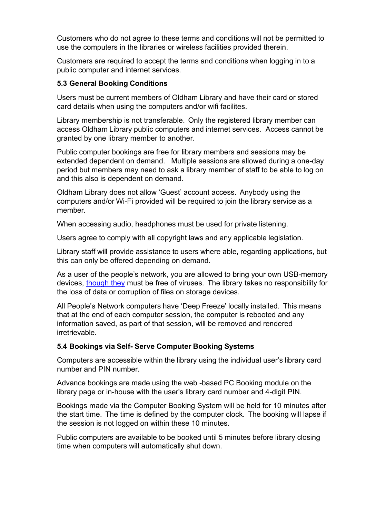Customers who do not agree to these terms and conditions will not be permitted to use the computers in the libraries or wireless facilities provided therein.

Customers are required to accept the terms and conditions when logging in to a public computer and internet services.

# **5.3 General Booking Conditions**

Users must be current members of Oldham Library and have their card or stored card details when using the computers and/or wifi facilites.

Library membership is not transferable. Only the registered library member can access Oldham Library public computers and internet services. Access cannot be granted by one library member to another.

Public computer bookings are free for library members and sessions may be extended dependent on demand. Multiple sessions are allowed during a one-day period but members may need to ask a library member of staff to be able to log on and this also is dependent on demand.

Oldham Library does not allow 'Guest' account access. Anybody using the computers and/or Wi-Fi provided will be required to join the library service as a member.

When accessing audio, headphones must be used for private listening.

Users agree to comply with all copyright laws and any applicable legislation.

Library staff will provide assistance to users where able, regarding applications, but this can only be offered depending on demand.

As a user of the people's network, you are allowed to bring your own USB-memory devices, though they must be free of viruses. The library takes no responsibility for the loss of data or corruption of files on storage devices.

All People's Network computers have 'Deep Freeze' locally installed. This means that at the end of each computer session, the computer is rebooted and any information saved, as part of that session, will be removed and rendered irretrievable.

# **5.4 Bookings via Self- Serve Computer Booking Systems**

Computers are accessible within the library using the individual user's library card number and PIN number.

Advance bookings are made using the web -based PC Booking module on the library page or in-house with the user's library card number and 4-digit PIN.

Bookings made via the Computer Booking System will be held for 10 minutes after the start time. The time is defined by the computer clock. The booking will lapse if the session is not logged on within these 10 minutes.

Public computers are available to be booked until 5 minutes before library closing time when computers will automatically shut down.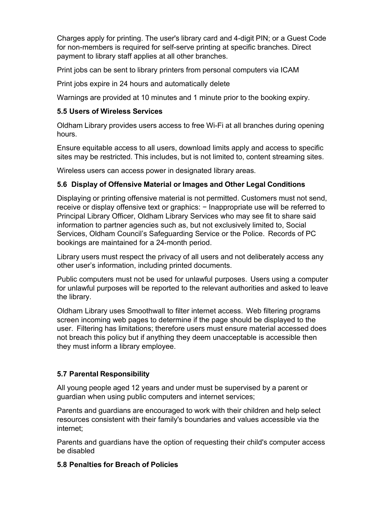Charges apply for printing. The user's library card and 4-digit PIN; or a Guest Code for non-members is required for self-serve printing at specific branches. Direct payment to library staff applies at all other branches.

Print jobs can be sent to library printers from personal computers via ICAM

Print jobs expire in 24 hours and automatically delete

Warnings are provided at 10 minutes and 1 minute prior to the booking expiry.

#### **5.5 Users of Wireless Services**

Oldham Library provides users access to free Wi-Fi at all branches during opening hours.

Ensure equitable access to all users, download limits apply and access to specific sites may be restricted. This includes, but is not limited to, content streaming sites.

Wireless users can access power in designated library areas.

#### **5.6 Display of Offensive Material or Images and Other Legal Conditions**

Displaying or printing offensive material is not permitted. Customers must not send, receive or display offensive text or graphics: − Inappropriate use will be referred to Principal Library Officer, Oldham Library Services who may see fit to share said information to partner agencies such as, but not exclusively limited to, Social Services, Oldham Council's Safeguarding Service or the Police. Records of PC bookings are maintained for a 24-month period.

Library users must respect the privacy of all users and not deliberately access any other user's information, including printed documents.

Public computers must not be used for unlawful purposes. Users using a computer for unlawful purposes will be reported to the relevant authorities and asked to leave the library.

Oldham Library uses Smoothwall to filter internet access. Web filtering programs screen incoming web pages to determine if the page should be displayed to the user. Filtering has limitations; therefore users must ensure material accessed does not breach this policy but if anything they deem unacceptable is accessible then they must inform a library employee.

# **5.7 Parental Responsibility**

All young people aged 12 years and under must be supervised by a parent or guardian when using public computers and internet services;

Parents and guardians are encouraged to work with their children and help select resources consistent with their family's boundaries and values accessible via the internet;

Parents and guardians have the option of requesting their child's computer access be disabled

#### **5.8 Penalties for Breach of Policies**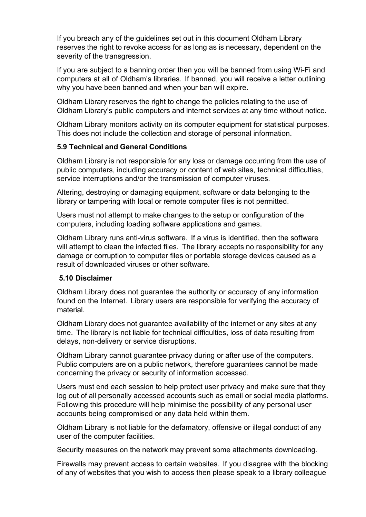If you breach any of the guidelines set out in this document Oldham Library reserves the right to revoke access for as long as is necessary, dependent on the severity of the transgression.

If you are subject to a banning order then you will be banned from using Wi-Fi and computers at all of Oldham's libraries. If banned, you will receive a letter outlining why you have been banned and when your ban will expire.

Oldham Library reserves the right to change the policies relating to the use of Oldham Library's public computers and internet services at any time without notice.

Oldham Library monitors activity on its computer equipment for statistical purposes. This does not include the collection and storage of personal information.

# **5.9 Technical and General Conditions**

Oldham Library is not responsible for any loss or damage occurring from the use of public computers, including accuracy or content of web sites, technical difficulties, service interruptions and/or the transmission of computer viruses.

Altering, destroying or damaging equipment, software or data belonging to the library or tampering with local or remote computer files is not permitted.

Users must not attempt to make changes to the setup or configuration of the computers, including loading software applications and games.

Oldham Library runs anti-virus software. If a virus is identified, then the software will attempt to clean the infected files. The library accepts no responsibility for any damage or corruption to computer files or portable storage devices caused as a result of downloaded viruses or other software.

#### **5.10 Disclaimer**

Oldham Library does not guarantee the authority or accuracy of any information found on the Internet. Library users are responsible for verifying the accuracy of material.

Oldham Library does not guarantee availability of the internet or any sites at any time. The library is not liable for technical difficulties, loss of data resulting from delays, non-delivery or service disruptions.

Oldham Library cannot guarantee privacy during or after use of the computers. Public computers are on a public network, therefore guarantees cannot be made concerning the privacy or security of information accessed.

Users must end each session to help protect user privacy and make sure that they log out of all personally accessed accounts such as email or social media platforms. Following this procedure will help minimise the possibility of any personal user accounts being compromised or any data held within them.

Oldham Library is not liable for the defamatory, offensive or illegal conduct of any user of the computer facilities.

Security measures on the network may prevent some attachments downloading.

Firewalls may prevent access to certain websites. If you disagree with the blocking of any of websites that you wish to access then please speak to a library colleague